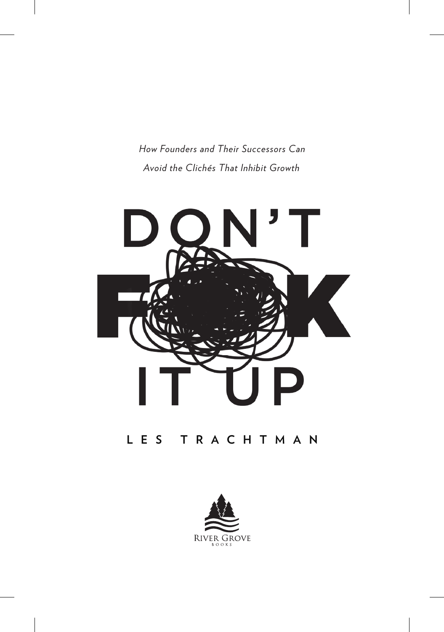*How Founders and Their Successors Can Avoid the Clichés That Inhibit Growth*



### **LES TRACHTMAN**

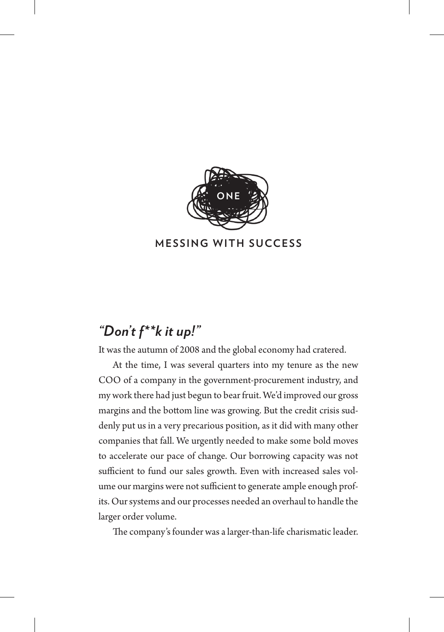

#### **MESSING WITH SUCCESS**

# *"Don't f\*\*k it up!"*

It was the autumn of 2008 and the global economy had cratered.

At the time, I was several quarters into my tenure as the new COO of a company in the government-procurement industry, and my work there had just begun to bear fruit. We'd improved our gross margins and the bottom line was growing. But the credit crisis suddenly put us in a very precarious position, as it did with many other companies that fall. We urgently needed to make some bold moves to accelerate our pace of change. Our borrowing capacity was not sufficient to fund our sales growth. Even with increased sales volume our margins were not sufficient to generate ample enough profits. Our systems and our processes needed an overhaul to handle the larger order volume.

The company's founder was a larger-than-life charismatic leader.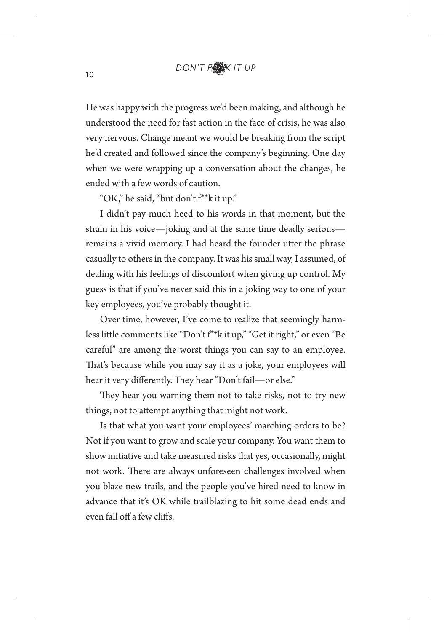He was happy with the progress we'd been making, and although he understood the need for fast action in the face of crisis, he was also very nervous. Change meant we would be breaking from the script he'd created and followed since the company's beginning. One day when we were wrapping up a conversation about the changes, he ended with a few words of caution.

"OK," he said, "but don't f\*\*k it up."

I didn't pay much heed to his words in that moment, but the strain in his voice—joking and at the same time deadly serious remains a vivid memory. I had heard the founder utter the phrase casually to others in the company. It was his small way, I assumed, of dealing with his feelings of discomfort when giving up control. My guess is that if you've never said this in a joking way to one of your key employees, you've probably thought it.

Over time, however, I've come to realize that seemingly harmless little comments like "Don't f<sup>\*\*</sup>k it up," "Get it right," or even "Be careful" are among the worst things you can say to an employee. That's because while you may say it as a joke, your employees will hear it very differently. They hear "Don't fail-or else."

They hear you warning them not to take risks, not to try new things, not to atempt anything that might not work.

Is that what you want your employees' marching orders to be? Not if you want to grow and scale your company. You want them to show initiative and take measured risks that yes, occasionally, might not work. There are always unforeseen challenges involved when you blaze new trails, and the people you've hired need to know in advance that it's OK while trailblazing to hit some dead ends and even fall off a few cliffs.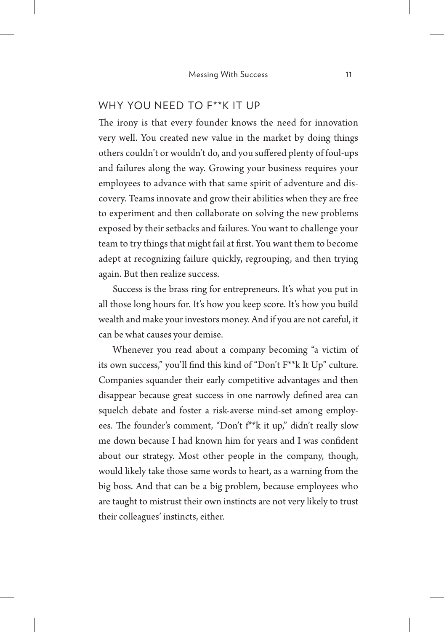#### WHY YOU NEED TO F\*\*K IT UP

The irony is that every founder knows the need for innovation very well. You created new value in the market by doing things others couldn't or wouldn't do, and you sufered plenty of foul-ups and failures along the way. Growing your business requires your employees to advance with that same spirit of adventure and discovery. Teams innovate and grow their abilities when they are free to experiment and then collaborate on solving the new problems exposed by their setbacks and failures. You want to challenge your team to try things that might fail at frst. You want them to become adept at recognizing failure quickly, regrouping, and then trying again. But then realize success.

Success is the brass ring for entrepreneurs. It's what you put in all those long hours for. It's how you keep score. It's how you build wealth and make your investors money. And if you are not careful, it can be what causes your demise.

Whenever you read about a company becoming "a victim of its own success," you'll fnd this kind of "Don't F\*\*k It Up" culture. Companies squander their early competitive advantages and then disappear because great success in one narrowly defned area can squelch debate and foster a risk-averse mind-set among employees. The founder's comment, "Don't f<sup>\*\*</sup>k it up," didn't really slow me down because I had known him for years and I was confdent about our strategy. Most other people in the company, though, would likely take those same words to heart, as a warning from the big boss. And that can be a big problem, because employees who are taught to mistrust their own instincts are not very likely to trust their colleagues' instincts, either.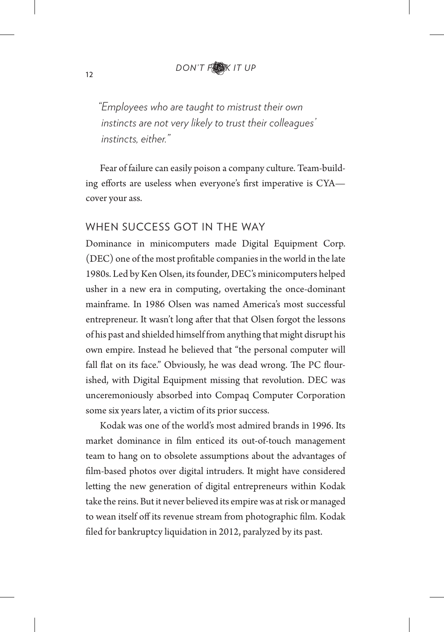*"Employees who are taught to mistrust their own instincts are not very likely to trust their colleagues' instincts, either."*

Fear of failure can easily poison a company culture. Team-building efforts are useless when everyone's first imperative is CYAcover your ass.

#### WHEN SUCCESS GOT IN THE WAY

Dominance in minicomputers made Digital Equipment Corp. (DEC) one of the most proftable companies in the world in the late 1980s. Led by Ken Olsen, its founder, DEC's minicomputers helped usher in a new era in computing, overtaking the once-dominant mainframe. In 1986 Olsen was named America's most successful entrepreneur. It wasn't long afer that that Olsen forgot the lessons of his past and shielded himself from anything that might disrupt his own empire. Instead he believed that "the personal computer will fall flat on its face." Obviously, he was dead wrong. The PC flourished, with Digital Equipment missing that revolution. DEC was unceremoniously absorbed into Compaq Computer Corporation some six years later, a victim of its prior success.

Kodak was one of the world's most admired brands in 1996. Its market dominance in flm enticed its out-of-touch management team to hang on to obsolete assumptions about the advantages of flm-based photos over digital intruders. It might have considered leting the new generation of digital entrepreneurs within Kodak take the reins. But it never believed its empire was at risk or managed to wean itself off its revenue stream from photographic film. Kodak fled for bankruptcy liquidation in 2012, paralyzed by its past.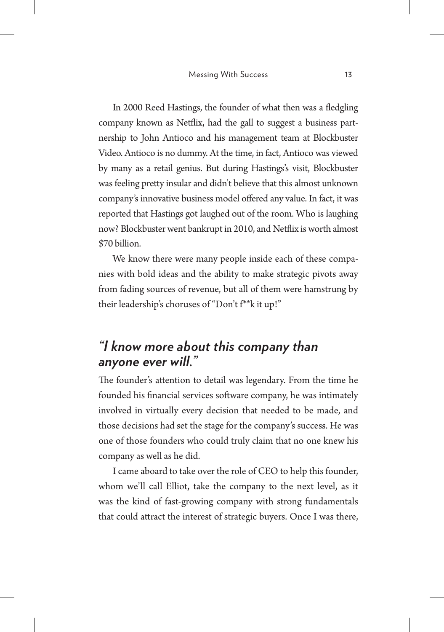In 2000 Reed Hastings, the founder of what then was a fedgling company known as Netfix, had the gall to suggest a business partnership to John Antioco and his management team at Blockbuster Video. Antioco is no dummy. At the time, in fact, Antioco was viewed by many as a retail genius. But during Hastings's visit, Blockbuster was feeling prety insular and didn't believe that this almost unknown company's innovative business model ofered any value. In fact, it was reported that Hastings got laughed out of the room. Who is laughing now? Blockbuster went bankrupt in 2010, and Netfix is worth almost \$70 billion.

We know there were many people inside each of these companies with bold ideas and the ability to make strategic pivots away from fading sources of revenue, but all of them were hamstrung by their leadership's choruses of "Don't f\*\*k it up!"

## *"I know more about this company than anyone ever will."*

The founder's attention to detail was legendary. From the time he founded his fnancial services sofware company, he was intimately involved in virtually every decision that needed to be made, and those decisions had set the stage for the company's success. He was one of those founders who could truly claim that no one knew his company as well as he did.

I came aboard to take over the role of CEO to help this founder, whom we'll call Elliot, take the company to the next level, as it was the kind of fast-growing company with strong fundamentals that could atract the interest of strategic buyers. Once I was there,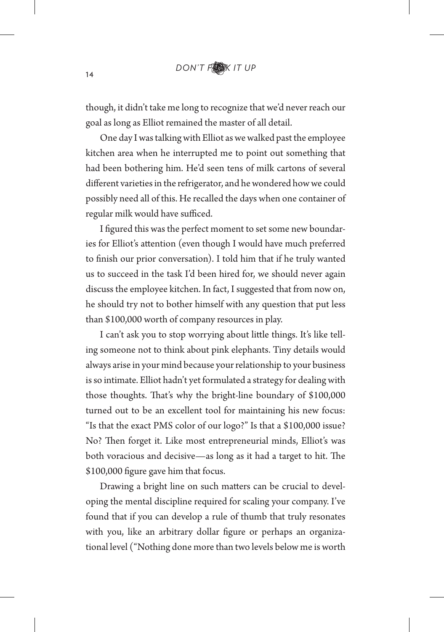though, it didn't take me long to recognize that we'd never reach our goal as long as Elliot remained the master of all detail.

One day I was talking with Elliot as we walked past the employee kitchen area when he interrupted me to point out something that had been bothering him. He'd seen tens of milk cartons of several diferent varieties in the refrigerator, and he wondered how we could possibly need all of this. He recalled the days when one container of regular milk would have sufficed.

I fgured this was the perfect moment to set some new boundaries for Elliot's atention (even though I would have much preferred to fnish our prior conversation). I told him that if he truly wanted us to succeed in the task I'd been hired for, we should never again discuss the employee kitchen. In fact, I suggested that from now on, he should try not to bother himself with any question that put less than \$100,000 worth of company resources in play.

I can't ask you to stop worrying about litle things. It's like telling someone not to think about pink elephants. Tiny details would always arise in your mind because your relationship to your business is so intimate. Elliot hadn't yet formulated a strategy for dealing with those thoughts. That's why the bright-line boundary of \$100,000 turned out to be an excellent tool for maintaining his new focus: "Is that the exact PMS color of our logo?" Is that a \$100,000 issue? No? Then forget it. Like most entrepreneurial minds, Elliot's was both voracious and decisive—as long as it had a target to hit. The \$100,000 fgure gave him that focus.

Drawing a bright line on such maters can be crucial to developing the mental discipline required for scaling your company. I've found that if you can develop a rule of thumb that truly resonates with you, like an arbitrary dollar fgure or perhaps an organizational level ("Nothing done more than two levels below me is worth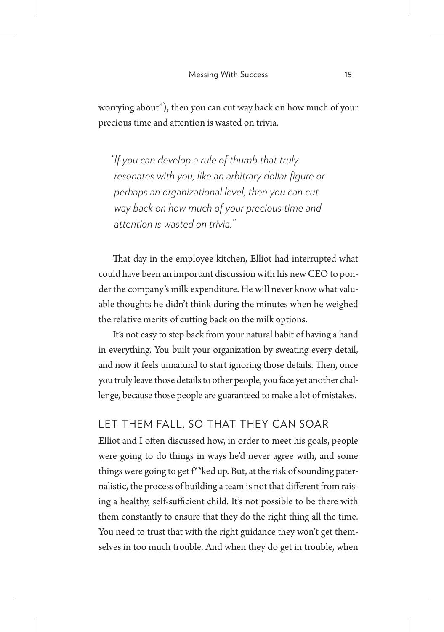worrying about"), then you can cut way back on how much of your precious time and atention is wasted on trivia.

*"If you can develop a rule of thumb that truly resonates with you, like an arbitrary dollar figure or perhaps an organizational level, then you can cut way back on how much of your precious time and attention is wasted on trivia."*

That day in the employee kitchen, Elliot had interrupted what could have been an important discussion with his new CEO to ponder the company's milk expenditure. He will never know what valuable thoughts he didn't think during the minutes when he weighed the relative merits of cuting back on the milk options.

It's not easy to step back from your natural habit of having a hand in everything. You built your organization by sweating every detail, and now it feels unnatural to start ignoring those details. Then, once you truly leave those details to other people, you face yet another challenge, because those people are guaranteed to make a lot of mistakes.

#### LET THEM FALL, SO THAT THEY CAN SOAR

Elliot and I often discussed how, in order to meet his goals, people were going to do things in ways he'd never agree with, and some things were going to get f\*\*ked up. But, at the risk of sounding paternalistic, the process of building a team is not that diferent from raising a healthy, self-sufficient child. It's not possible to be there with them constantly to ensure that they do the right thing all the time. You need to trust that with the right guidance they won't get themselves in too much trouble. And when they do get in trouble, when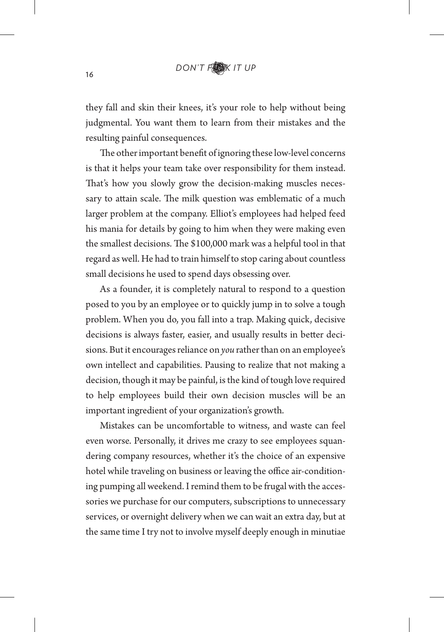they fall and skin their knees, it's your role to help without being judgmental. You want them to learn from their mistakes and the resulting painful consequences.

The other important benefit of ignoring these low-level concerns is that it helps your team take over responsibility for them instead. That's how you slowly grow the decision-making muscles necessary to attain scale. The milk question was emblematic of a much larger problem at the company. Elliot's employees had helped feed his mania for details by going to him when they were making even the smallest decisions. The \$100,000 mark was a helpful tool in that regard as well. He had to train himself to stop caring about countless small decisions he used to spend days obsessing over.

As a founder, it is completely natural to respond to a question posed to you by an employee or to quickly jump in to solve a tough problem. When you do, you fall into a trap. Making quick, decisive decisions is always faster, easier, and usually results in better decisions. But it encourages reliance on *you* rather than on an employee's own intellect and capabilities. Pausing to realize that not making a decision, though it may be painful, is the kind of tough love required to help employees build their own decision muscles will be an important ingredient of your organization's growth.

Mistakes can be uncomfortable to witness, and waste can feel even worse. Personally, it drives me crazy to see employees squandering company resources, whether it's the choice of an expensive hotel while traveling on business or leaving the office air-conditioning pumping all weekend. I remind them to be frugal with the accessories we purchase for our computers, subscriptions to unnecessary services, or overnight delivery when we can wait an extra day, but at the same time I try not to involve myself deeply enough in minutiae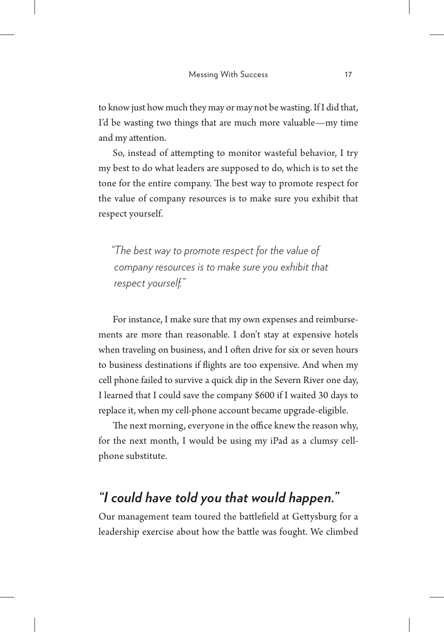to know just how much they may or may not be wasting. If I did that, I'd be wasting two things that are much more valuable—my time and my atention.

So, instead of atempting to monitor wasteful behavior, I try my best to do what leaders are supposed to do, which is to set the tone for the entire company. The best way to promote respect for the value of company resources is to make sure you exhibit that respect yourself.

*"The best way to promote respect for the value of company resources is to make sure you exhibit that respect yourself."*

For instance, I make sure that my own expenses and reimbursements are more than reasonable. I don't stay at expensive hotels when traveling on business, and I often drive for six or seven hours to business destinations if fights are too expensive. And when my cell phone failed to survive a quick dip in the Severn River one day, I learned that I could save the company \$600 if I waited 30 days to replace it, when my cell-phone account became upgrade-eligible.

The next morning, everyone in the office knew the reason why, for the next month, I would be using my iPad as a clumsy cellphone substitute.

## *"I could have told you that would happen."*

Our management team toured the batlefeld at Getysburg for a leadership exercise about how the batle was fought. We climbed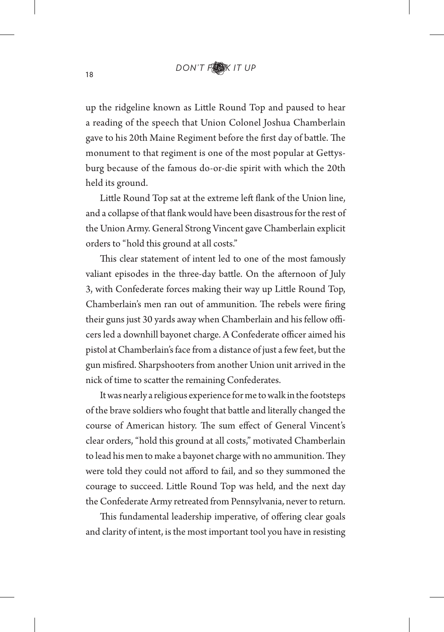up the ridgeline known as Litle Round Top and paused to hear a reading of the speech that Union Colonel Joshua Chamberlain gave to his 20th Maine Regiment before the first day of battle. The monument to that regiment is one of the most popular at Getysburg because of the famous do-or-die spirit with which the 20th held its ground.

Little Round Top sat at the extreme left flank of the Union line, and a collapse of that fank would have been disastrous for the rest of the Union Army. General Strong Vincent gave Chamberlain explicit orders to "hold this ground at all costs."

This clear statement of intent led to one of the most famously valiant episodes in the three-day battle. On the afternoon of July 3, with Confederate forces making their way up Litle Round Top, Chamberlain's men ran out of ammunition. The rebels were firing their guns just 30 yards away when Chamberlain and his fellow officers led a downhill bayonet charge. A Confederate officer aimed his pistol at Chamberlain's face from a distance of just a few feet, but the gun misfred. Sharpshooters from another Union unit arrived in the nick of time to scater the remaining Confederates.

It was nearly a religious experience for me to walk in the footsteps of the brave soldiers who fought that batle and literally changed the course of American history. The sum effect of General Vincent's clear orders, "hold this ground at all costs," motivated Chamberlain to lead his men to make a bayonet charge with no ammunition. They were told they could not afford to fail, and so they summoned the courage to succeed. Litle Round Top was held, and the next day the Confederate Army retreated from Pennsylvania, never to return.

This fundamental leadership imperative, of offering clear goals and clarity of intent, is the most important tool you have in resisting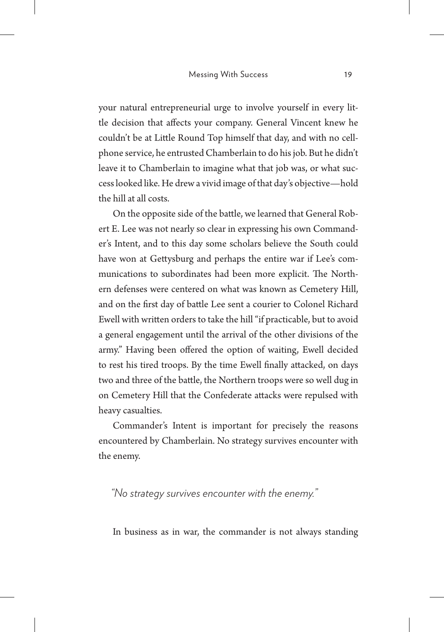your natural entrepreneurial urge to involve yourself in every little decision that afects your company. General Vincent knew he couldn't be at Litle Round Top himself that day, and with no cellphone service, he entrusted Chamberlain to do his job. But he didn't leave it to Chamberlain to imagine what that job was, or what success looked like. He drew a vivid image of that day's objective—hold the hill at all costs.

On the opposite side of the batle, we learned that General Robert E. Lee was not nearly so clear in expressing his own Commander's Intent, and to this day some scholars believe the South could have won at Getysburg and perhaps the entire war if Lee's communications to subordinates had been more explicit. The Northern defenses were centered on what was known as Cemetery Hill, and on the frst day of batle Lee sent a courier to Colonel Richard Ewell with writen orders to take the hill "if practicable, but to avoid a general engagement until the arrival of the other divisions of the army." Having been offered the option of waiting, Ewell decided to rest his tired troops. By the time Ewell fnally atacked, on days two and three of the battle, the Northern troops were so well dug in on Cemetery Hill that the Confederate atacks were repulsed with heavy casualties.

Commander's Intent is important for precisely the reasons encountered by Chamberlain. No strategy survives encounter with the enemy.

*"No strategy survives encounter with the enemy."*

In business as in war, the commander is not always standing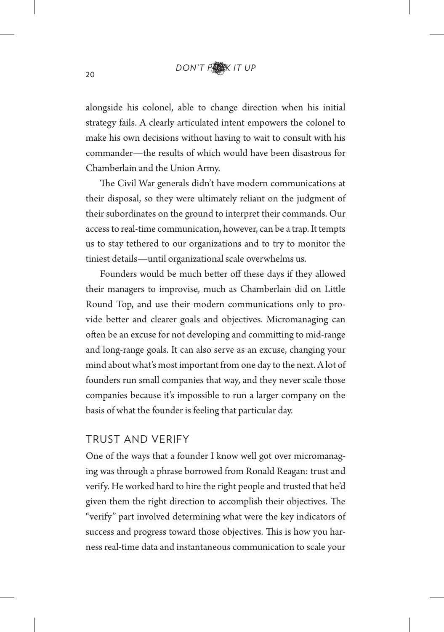alongside his colonel, able to change direction when his initial strategy fails. A clearly articulated intent empowers the colonel to make his own decisions without having to wait to consult with his commander—the results of which would have been disastrous for Chamberlain and the Union Army.

The Civil War generals didn't have modern communications at their disposal, so they were ultimately reliant on the judgment of their subordinates on the ground to interpret their commands. Our access to real-time communication, however, can be a trap. It tempts us to stay tethered to our organizations and to try to monitor the tiniest details—until organizational scale overwhelms us.

Founders would be much better off these days if they allowed their managers to improvise, much as Chamberlain did on Litle Round Top, and use their modern communications only to provide better and clearer goals and objectives. Micromanaging can ofen be an excuse for not developing and commiting to mid-range and long-range goals. It can also serve as an excuse, changing your mind about what's most important from one day to the next. A lot of founders run small companies that way, and they never scale those companies because it's impossible to run a larger company on the basis of what the founder is feeling that particular day.

#### TRUST AND VERIFY

One of the ways that a founder I know well got over micromanaging was through a phrase borrowed from Ronald Reagan: trust and verify. He worked hard to hire the right people and trusted that he'd given them the right direction to accomplish their objectives. The "verify" part involved determining what were the key indicators of success and progress toward those objectives. This is how you harness real-time data and instantaneous communication to scale your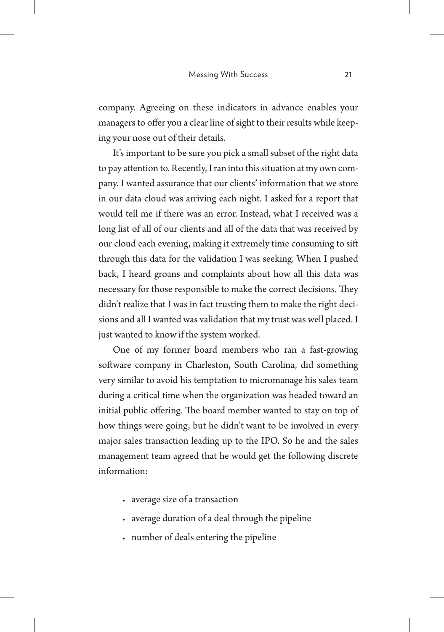company. Agreeing on these indicators in advance enables your managers to offer you a clear line of sight to their results while keeping your nose out of their details.

It's important to be sure you pick a small subset of the right data to pay atention to. Recently, I ran into this situation at my own company. I wanted assurance that our clients' information that we store in our data cloud was arriving each night. I asked for a report that would tell me if there was an error. Instead, what I received was a long list of all of our clients and all of the data that was received by our cloud each evening, making it extremely time consuming to sif through this data for the validation I was seeking. When I pushed back, I heard groans and complaints about how all this data was necessary for those responsible to make the correct decisions. They didn't realize that I was in fact trusting them to make the right decisions and all I wanted was validation that my trust was well placed. I just wanted to know if the system worked.

One of my former board members who ran a fast-growing software company in Charleston, South Carolina, did something very similar to avoid his temptation to micromanage his sales team during a critical time when the organization was headed toward an initial public offering. The board member wanted to stay on top of how things were going, but he didn't want to be involved in every major sales transaction leading up to the IPO. So he and the sales management team agreed that he would get the following discrete information:

- average size of a transaction
- average duration of a deal through the pipeline
- number of deals entering the pipeline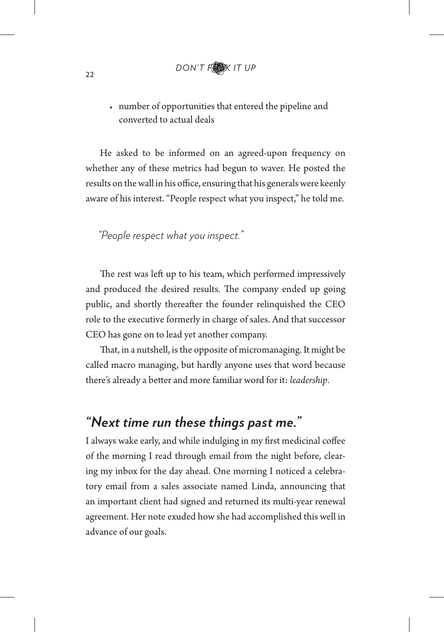• number of opportunities that entered the pipeline and converted to actual deals

He asked to be informed on an agreed-upon frequency on whether any of these metrics had begun to waver. He posted the results on the wall in his office, ensuring that his generals were keenly aware of his interest. "People respect what you inspect," he told me.

*"People respect what you inspect."*

The rest was left up to his team, which performed impressively and produced the desired results. The company ended up going public, and shortly thereafer the founder relinquished the CEO role to the executive formerly in charge of sales. And that successor CEO has gone on to lead yet another company.

That, in a nutshell, is the opposite of micromanaging. It might be called macro managing, but hardly anyone uses that word because there's already a beter and more familiar word for it: *leadership*.

### *"Next time run these things past me."*

I always wake early, and while indulging in my frst medicinal cofee of the morning I read through email from the night before, clearing my inbox for the day ahead. One morning I noticed a celebratory email from a sales associate named Linda, announcing that an important client had signed and returned its multi-year renewal agreement. Her note exuded how she had accomplished this well in advance of our goals.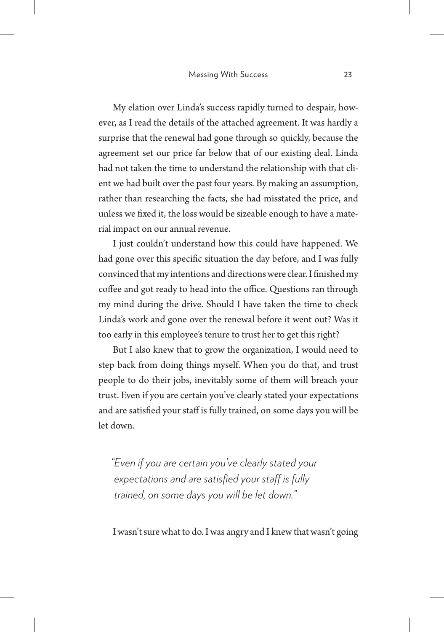My elation over Linda's success rapidly turned to despair, however, as I read the details of the atached agreement. It was hardly a surprise that the renewal had gone through so quickly, because the agreement set our price far below that of our existing deal. Linda had not taken the time to understand the relationship with that client we had built over the past four years. By making an assumption, rather than researching the facts, she had misstated the price, and unless we fxed it, the loss would be sizeable enough to have a material impact on our annual revenue.

I just couldn't understand how this could have happened. We had gone over this specifc situation the day before, and I was fully convinced that my intentions and directions were clear. I fnished my coffee and got ready to head into the office. Questions ran through my mind during the drive. Should I have taken the time to check Linda's work and gone over the renewal before it went out? Was it too early in this employee's tenure to trust her to get this right?

But I also knew that to grow the organization, I would need to step back from doing things myself. When you do that, and trust people to do their jobs, inevitably some of them will breach your trust. Even if you are certain you've clearly stated your expectations and are satisfied your staff is fully trained, on some days you will be let down.

*"Even if you are certain you've clearly stated your expectations and are satisfied your staf is fully trained, on some days you will be let down."*

I wasn't sure what to do. I was angry and I knew that wasn't going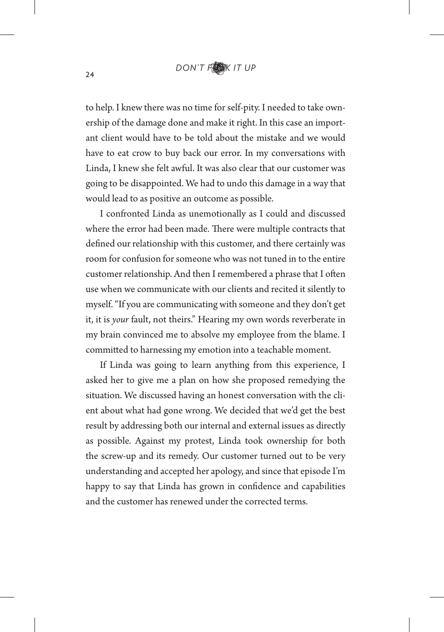to help. I knew there was no time for self-pity. I needed to take ownership of the damage done and make it right. In this case an important client would have to be told about the mistake and we would have to eat crow to buy back our error. In my conversations with Linda, I knew she felt awful. It was also clear that our customer was going to be disappointed. We had to undo this damage in a way that would lead to as positive an outcome as possible.

I confronted Linda as unemotionally as I could and discussed where the error had been made. There were multiple contracts that defned our relationship with this customer, and there certainly was room for confusion for someone who was not tuned in to the entire customer relationship. And then I remembered a phrase that I often use when we communicate with our clients and recited it silently to myself. "If you are communicating with someone and they don't get it, it is *your* fault, not theirs." Hearing my own words reverberate in my brain convinced me to absolve my employee from the blame. I commited to harnessing my emotion into a teachable moment.

If Linda was going to learn anything from this experience, I asked her to give me a plan on how she proposed remedying the situation. We discussed having an honest conversation with the client about what had gone wrong. We decided that we'd get the best result by addressing both our internal and external issues as directly as possible. Against my protest, Linda took ownership for both the screw-up and its remedy. Our customer turned out to be very understanding and accepted her apology, and since that episode I'm happy to say that Linda has grown in confdence and capabilities and the customer has renewed under the corrected terms.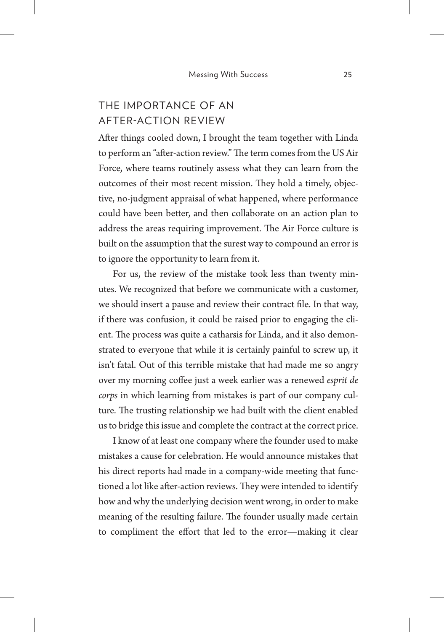### THE IMPORTANCE OF AN AFTER-ACTION REVIEW

Afer things cooled down, I brought the team together with Linda to perform an "after-action review." The term comes from the US Air Force, where teams routinely assess what they can learn from the outcomes of their most recent mission. They hold a timely, objective, no-judgment appraisal of what happened, where performance could have been beter, and then collaborate on an action plan to address the areas requiring improvement. The Air Force culture is built on the assumption that the surest way to compound an error is to ignore the opportunity to learn from it.

For us, the review of the mistake took less than twenty minutes. We recognized that before we communicate with a customer, we should insert a pause and review their contract fle. In that way, if there was confusion, it could be raised prior to engaging the client. The process was quite a catharsis for Linda, and it also demonstrated to everyone that while it is certainly painful to screw up, it isn't fatal. Out of this terrible mistake that had made me so angry over my morning cofee just a week earlier was a renewed *esprit de corps* in which learning from mistakes is part of our company culture. The trusting relationship we had built with the client enabled us to bridge this issue and complete the contract at the correct price.

I know of at least one company where the founder used to make mistakes a cause for celebration. He would announce mistakes that his direct reports had made in a company-wide meeting that functioned a lot like after-action reviews. They were intended to identify how and why the underlying decision went wrong, in order to make meaning of the resulting failure. The founder usually made certain to compliment the efort that led to the error—making it clear